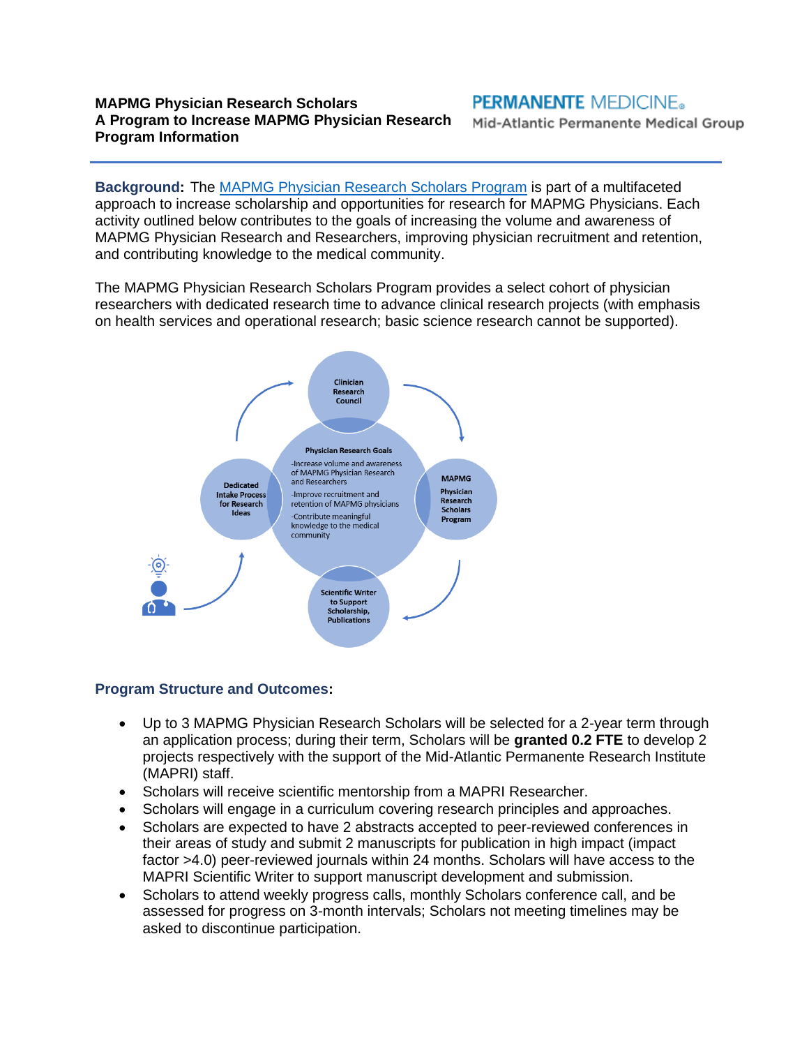#### **MAPMG Physician Research Scholars A Program to Increase MAPMG Physician Research Program Information**

**PERMANENTE MEDICINE.** 

Mid-Atlantic Permanente Medical Group

**Background:** The [MAPMG Physician Research Scholars Program](https://mapri.kaiserpermanente.org/research/mapmg-physician-research-scholars/) is part of a multifaceted approach to increase scholarship and opportunities for research for MAPMG Physicians. Each activity outlined below contributes to the goals of increasing the volume and awareness of MAPMG Physician Research and Researchers, improving physician recruitment and retention, and contributing knowledge to the medical community.

The MAPMG Physician Research Scholars Program provides a select cohort of physician researchers with dedicated research time to advance clinical research projects (with emphasis on health services and operational research; basic science research cannot be supported).



#### **Program Structure and Outcomes:**

- Up to 3 MAPMG Physician Research Scholars will be selected for a 2-year term through an application process; during their term, Scholars will be **granted 0.2 FTE** to develop 2 projects respectively with the support of the Mid-Atlantic Permanente Research Institute (MAPRI) staff.
- Scholars will receive scientific mentorship from a MAPRI Researcher.
- Scholars will engage in a curriculum covering research principles and approaches.
- Scholars are expected to have 2 abstracts accepted to peer-reviewed conferences in their areas of study and submit 2 manuscripts for publication in high impact (impact factor >4.0) peer-reviewed journals within 24 months. Scholars will have access to the MAPRI Scientific Writer to support manuscript development and submission.
- Scholars to attend weekly progress calls, monthly Scholars conference call, and be assessed for progress on 3-month intervals; Scholars not meeting timelines may be asked to discontinue participation.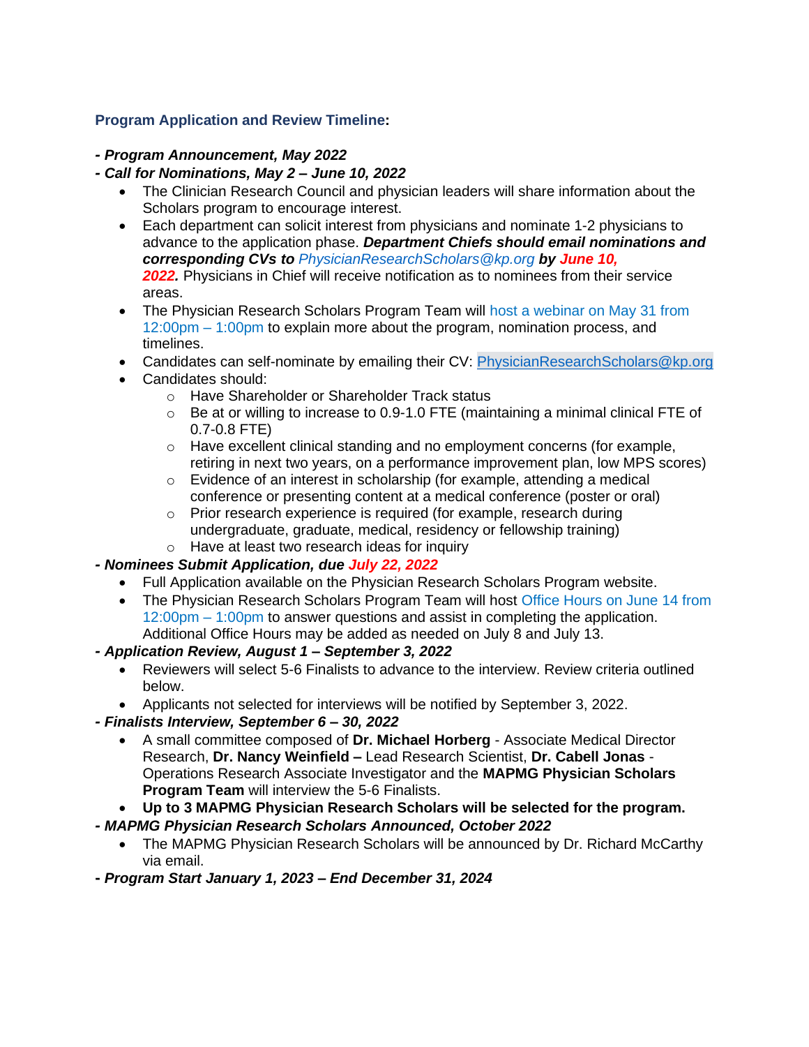## **Program Application and Review Timeline:**

## *- Program Announcement, May 2022*

## *- Call for Nominations, May 2 – June 10, 2022*

- The Clinician Research Council and physician leaders will share information about the Scholars program to encourage interest.
- Each department can solicit interest from physicians and nominate 1-2 physicians to advance to the application phase. *Department Chiefs should email nominations and corresponding CVs to [PhysicianResearchScholars@kp.org](mailto:PhysicianResearchScholars@kp.org) by June 10,*  **2022.** Physicians in Chief will receive notification as to nominees from their service areas.
- The Physician Research Scholars Program Team will host a webinar on May 31 from 12:00pm – 1:00pm to explain more about the program, nomination process, and timelines.
- Candidates can self-nominate by emailing their CV: [PhysicianResearchScholars@kp.org](mailto:PhysicianResearchScholars@kp.org)
- Candidates should:
	- o Have Shareholder or Shareholder Track status
	- $\circ$  Be at or willing to increase to 0.9-1.0 FTE (maintaining a minimal clinical FTE of 0.7-0.8 FTE)
	- o Have excellent clinical standing and no employment concerns (for example, retiring in next two years, on a performance improvement plan, low MPS scores)
	- o Evidence of an interest in scholarship (for example, attending a medical conference or presenting content at a medical conference (poster or oral)
	- o Prior research experience is required (for example, research during undergraduate, graduate, medical, residency or fellowship training) o Have at least two research ideas for inquiry
- 

# *- Nominees Submit Application, due July 22, 2022*

- Full Application available on the Physician Research Scholars Program website.
- The Physician Research Scholars Program Team will host Office Hours on June 14 from 12:00pm – 1:00pm to answer questions and assist in completing the application. Additional Office Hours may be added as needed on July 8 and July 13.

## *- Application Review, August 1 – September 3, 2022*

- Reviewers will select 5-6 Finalists to advance to the interview. Review criteria outlined below.
- Applicants not selected for interviews will be notified by September 3, 2022.

#### *- Finalists Interview, September 6 – 30, 2022*

• A small committee composed of **Dr. Michael Horberg** - Associate Medical Director Research, **Dr. Nancy Weinfield –** Lead Research Scientist, **Dr. Cabell Jonas** - Operations Research Associate Investigator and the **MAPMG Physician Scholars Program Team** will interview the 5-6 Finalists.

## • **Up to 3 MAPMG Physician Research Scholars will be selected for the program.**

## *- MAPMG Physician Research Scholars Announced, October 2022*

• The MAPMG Physician Research Scholars will be announced by Dr. Richard McCarthy via email.

**-** *Program Start January 1, 2023 – End December 31, 2024*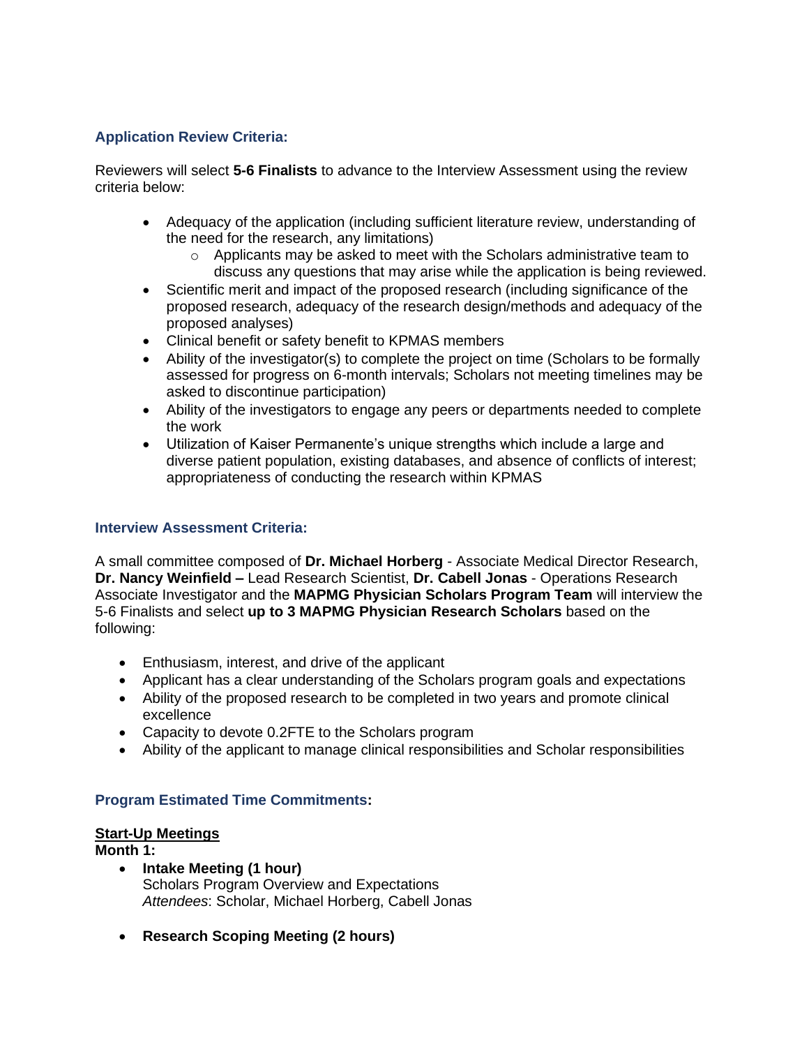### **Application Review Criteria:**

Reviewers will select **5-6 Finalists** to advance to the Interview Assessment using the review criteria below:

- Adequacy of the application (including sufficient literature review, understanding of the need for the research, any limitations)
	- o Applicants may be asked to meet with the Scholars administrative team to discuss any questions that may arise while the application is being reviewed.
- Scientific merit and impact of the proposed research (including significance of the proposed research, adequacy of the research design/methods and adequacy of the proposed analyses)
- Clinical benefit or safety benefit to KPMAS members
- Ability of the investigator(s) to complete the project on time (Scholars to be formally assessed for progress on 6-month intervals; Scholars not meeting timelines may be asked to discontinue participation)
- Ability of the investigators to engage any peers or departments needed to complete the work
- Utilization of Kaiser Permanente's unique strengths which include a large and diverse patient population, existing databases, and absence of conflicts of interest; appropriateness of conducting the research within KPMAS

#### **Interview Assessment Criteria:**

A small committee composed of **Dr. Michael Horberg** - Associate Medical Director Research, **Dr. Nancy Weinfield –** Lead Research Scientist, **Dr. Cabell Jonas** - Operations Research Associate Investigator and the **MAPMG Physician Scholars Program Team** will interview the 5-6 Finalists and select **up to 3 MAPMG Physician Research Scholars** based on the following:

- Enthusiasm, interest, and drive of the applicant
- Applicant has a clear understanding of the Scholars program goals and expectations
- Ability of the proposed research to be completed in two years and promote clinical excellence
- Capacity to devote 0.2FTE to the Scholars program
- Ability of the applicant to manage clinical responsibilities and Scholar responsibilities

## **Program Estimated Time Commitments:**

#### **Start-Up Meetings**

#### **Month 1:**

- **Intake Meeting (1 hour)** Scholars Program Overview and Expectations *Attendees*: Scholar, Michael Horberg, Cabell Jonas
- **Research Scoping Meeting (2 hours)**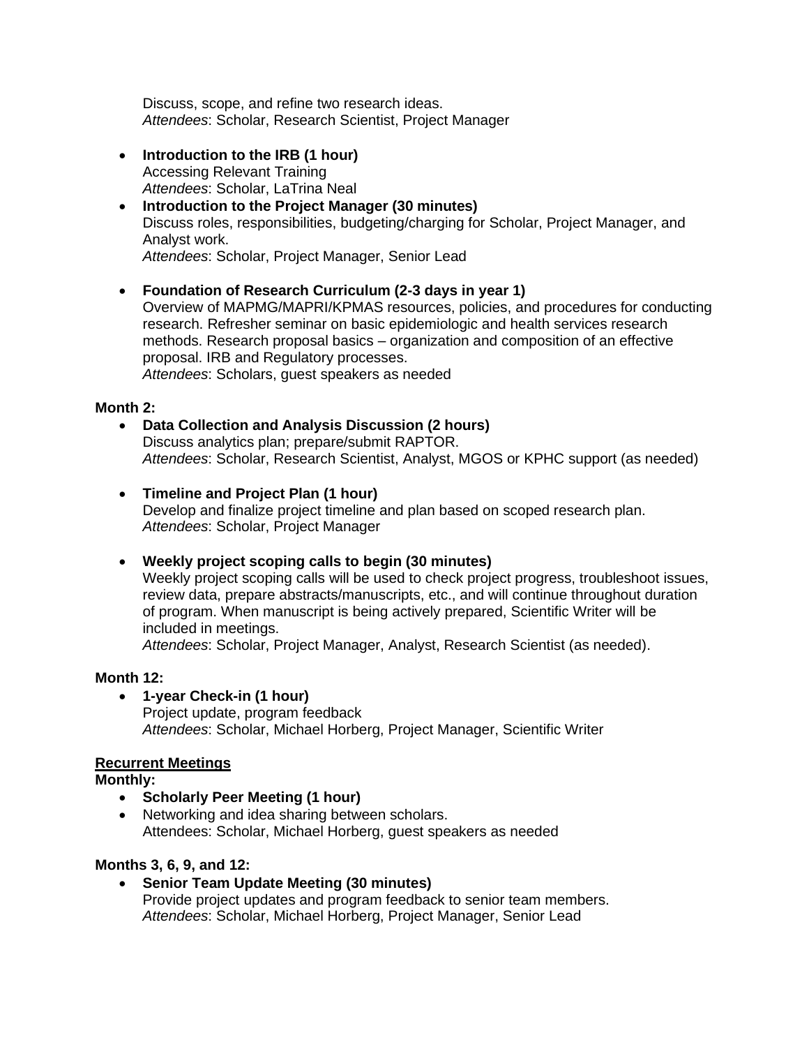Discuss, scope, and refine two research ideas. *Attendees*: Scholar, Research Scientist, Project Manager

- **Introduction to the IRB (1 hour)** Accessing Relevant Training *Attendees*: Scholar, LaTrina Neal
- **Introduction to the Project Manager (30 minutes)** Discuss roles, responsibilities, budgeting/charging for Scholar, Project Manager, and Analyst work. *Attendees*: Scholar, Project Manager, Senior Lead

# • **Foundation of Research Curriculum (2-3 days in year 1)**

Overview of MAPMG/MAPRI/KPMAS resources, policies, and procedures for conducting research. Refresher seminar on basic epidemiologic and health services research methods. Research proposal basics – organization and composition of an effective proposal. IRB and Regulatory processes. *Attendees*: Scholars, guest speakers as needed

## **Month 2:**

- **Data Collection and Analysis Discussion (2 hours)**  Discuss analytics plan; prepare/submit RAPTOR. *Attendees*: Scholar, Research Scientist, Analyst, MGOS or KPHC support (as needed)
- **Timeline and Project Plan (1 hour)**  Develop and finalize project timeline and plan based on scoped research plan. *Attendees*: Scholar, Project Manager
- **Weekly project scoping calls to begin (30 minutes)** Weekly project scoping calls will be used to check project progress, troubleshoot issues, review data, prepare abstracts/manuscripts, etc., and will continue throughout duration

of program. When manuscript is being actively prepared, Scientific Writer will be included in meetings.

*Attendees*: Scholar, Project Manager, Analyst, Research Scientist (as needed).

# **Month 12:**

• **1-year Check-in (1 hour)** Project update, program feedback *Attendees*: Scholar, Michael Horberg, Project Manager, Scientific Writer

# **Recurrent Meetings**

**Monthly:**

- **Scholarly Peer Meeting (1 hour)**
- Networking and idea sharing between scholars. Attendees: Scholar, Michael Horberg, guest speakers as needed

# **Months 3, 6, 9, and 12:**

• **Senior Team Update Meeting (30 minutes)** Provide project updates and program feedback to senior team members. *Attendees*: Scholar, Michael Horberg, Project Manager, Senior Lead